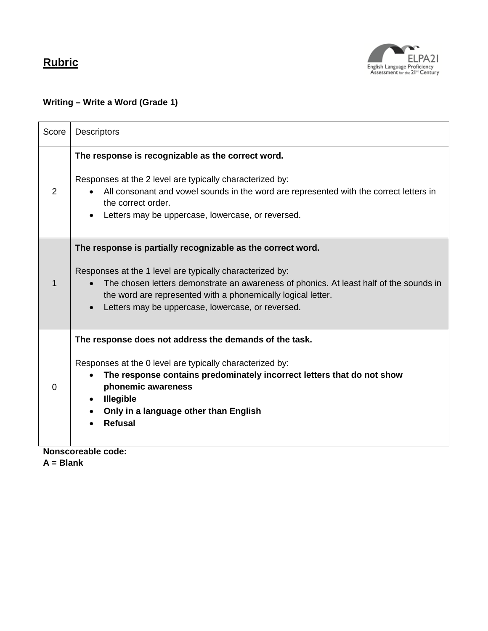

#### **Writing – Write a Word (Grade 1)**

| Score | <b>Descriptors</b>                                                                                                                                                                                                                                                                                                                                  |
|-------|-----------------------------------------------------------------------------------------------------------------------------------------------------------------------------------------------------------------------------------------------------------------------------------------------------------------------------------------------------|
| 2     | The response is recognizable as the correct word.<br>Responses at the 2 level are typically characterized by:<br>All consonant and vowel sounds in the word are represented with the correct letters in<br>the correct order.<br>Letters may be uppercase, lowercase, or reversed.                                                                  |
|       | The response is partially recognizable as the correct word.<br>Responses at the 1 level are typically characterized by:<br>The chosen letters demonstrate an awareness of phonics. At least half of the sounds in<br>$\bullet$<br>the word are represented with a phonemically logical letter.<br>Letters may be uppercase, lowercase, or reversed. |
| 0     | The response does not address the demands of the task.<br>Responses at the 0 level are typically characterized by:<br>The response contains predominately incorrect letters that do not show<br>phonemic awareness<br><b>Illegible</b><br>$\bullet$<br>Only in a language other than English<br><b>Refusal</b>                                      |
|       | Nonscoreable code:                                                                                                                                                                                                                                                                                                                                  |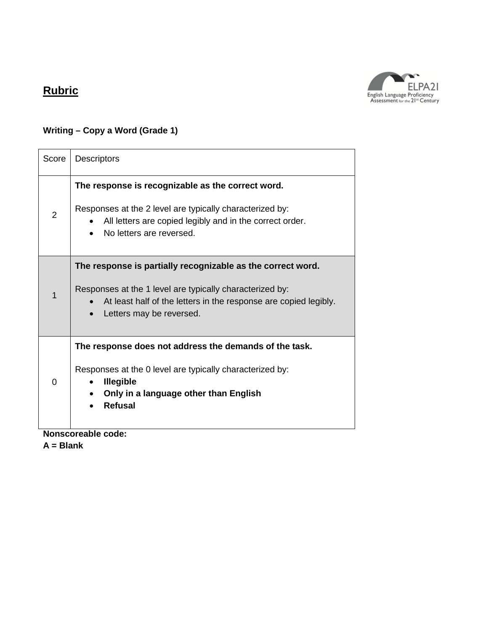

#### **Writing – Copy a Word (Grade 1)**

| Score          | <b>Descriptors</b>                                                                                                                                                                                                      |
|----------------|-------------------------------------------------------------------------------------------------------------------------------------------------------------------------------------------------------------------------|
| $\overline{2}$ | The response is recognizable as the correct word.<br>Responses at the 2 level are typically characterized by:<br>All letters are copied legibly and in the correct order.<br>No letters are reversed.                   |
| 1              | The response is partially recognizable as the correct word.<br>Responses at the 1 level are typically characterized by:<br>At least half of the letters in the response are copied legibly.<br>Letters may be reversed. |
| $\Omega$       | The response does not address the demands of the task.<br>Responses at the 0 level are typically characterized by:<br><b>Illegible</b><br>Only in a language other than English<br><b>Refusal</b><br>L. L.              |

**Nonscoreable code:**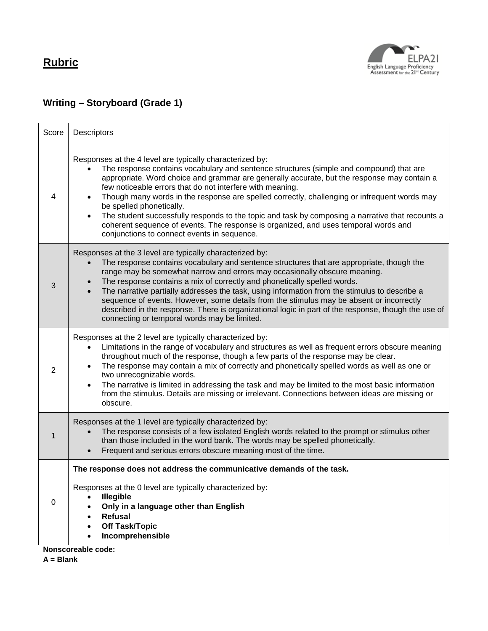

#### **Writing – Storyboard (Grade 1)**

| Score | Descriptors                                                                                                                                                                                                                                                                                                                                                                                                                                                                                                                                                                                                                                                                           |
|-------|---------------------------------------------------------------------------------------------------------------------------------------------------------------------------------------------------------------------------------------------------------------------------------------------------------------------------------------------------------------------------------------------------------------------------------------------------------------------------------------------------------------------------------------------------------------------------------------------------------------------------------------------------------------------------------------|
| 4     | Responses at the 4 level are typically characterized by:<br>The response contains vocabulary and sentence structures (simple and compound) that are<br>appropriate. Word choice and grammar are generally accurate, but the response may contain a<br>few noticeable errors that do not interfere with meaning.<br>Though many words in the response are spelled correctly, challenging or infrequent words may<br>be spelled phonetically.<br>The student successfully responds to the topic and task by composing a narrative that recounts a<br>coherent sequence of events. The response is organized, and uses temporal words and<br>conjunctions to connect events in sequence. |
| 3     | Responses at the 3 level are typically characterized by:<br>The response contains vocabulary and sentence structures that are appropriate, though the<br>range may be somewhat narrow and errors may occasionally obscure meaning.<br>The response contains a mix of correctly and phonetically spelled words.<br>The narrative partially addresses the task, using information from the stimulus to describe a<br>sequence of events. However, some details from the stimulus may be absent or incorrectly<br>described in the response. There is organizational logic in part of the response, though the use of<br>connecting or temporal words may be limited.                    |
| 2     | Responses at the 2 level are typically characterized by:<br>Limitations in the range of vocabulary and structures as well as frequent errors obscure meaning<br>throughout much of the response, though a few parts of the response may be clear.<br>The response may contain a mix of correctly and phonetically spelled words as well as one or<br>two unrecognizable words.<br>The narrative is limited in addressing the task and may be limited to the most basic information<br>$\bullet$<br>from the stimulus. Details are missing or irrelevant. Connections between ideas are missing or<br>obscure.                                                                         |
| 1     | Responses at the 1 level are typically characterized by:<br>The response consists of a few isolated English words related to the prompt or stimulus other<br>than those included in the word bank. The words may be spelled phonetically.<br>Frequent and serious errors obscure meaning most of the time.                                                                                                                                                                                                                                                                                                                                                                            |
| 0     | The response does not address the communicative demands of the task.<br>Responses at the 0 level are typically characterized by:<br>Illegible<br>Only in a language other than English<br><b>Refusal</b><br><b>Off Task/Topic</b><br>Incomprehensible                                                                                                                                                                                                                                                                                                                                                                                                                                 |
|       | Nonscoreable code:                                                                                                                                                                                                                                                                                                                                                                                                                                                                                                                                                                                                                                                                    |